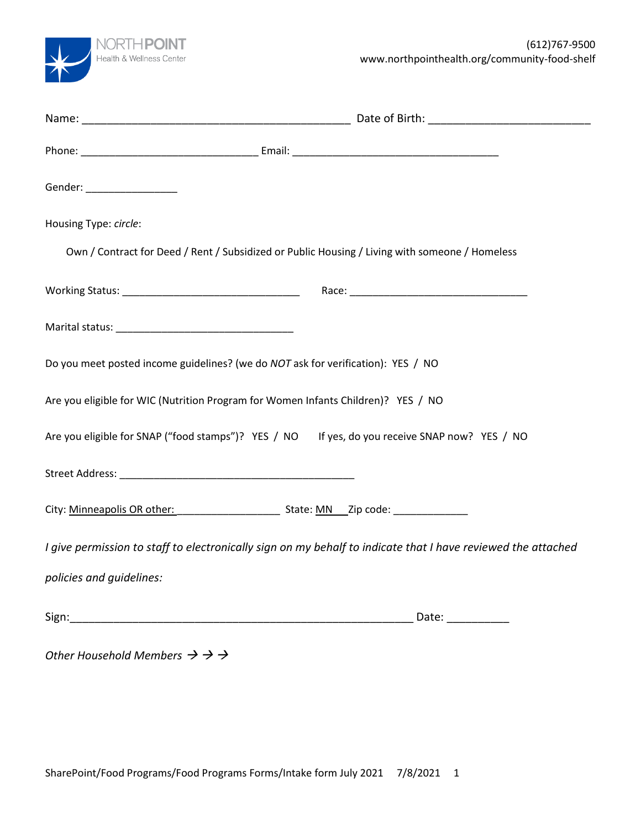

| Gender: _________________                                         |                                                                                                              |
|-------------------------------------------------------------------|--------------------------------------------------------------------------------------------------------------|
| Housing Type: circle:                                             |                                                                                                              |
|                                                                   | Own / Contract for Deed / Rent / Subsidized or Public Housing / Living with someone / Homeless               |
|                                                                   |                                                                                                              |
|                                                                   |                                                                                                              |
|                                                                   | Do you meet posted income guidelines? (we do NOT ask for verification): YES / NO                             |
|                                                                   | Are you eligible for WIC (Nutrition Program for Women Infants Children)? YES / NO                            |
|                                                                   | Are you eligible for SNAP ("food stamps")? YES / NO If yes, do you receive SNAP now? YES / NO                |
|                                                                   |                                                                                                              |
|                                                                   |                                                                                                              |
|                                                                   | I give permission to staff to electronically sign on my behalf to indicate that I have reviewed the attached |
| policies and guidelines:                                          |                                                                                                              |
|                                                                   | Date: ___________                                                                                            |
| Other Household Members $\rightarrow$ $\rightarrow$ $\rightarrow$ |                                                                                                              |
|                                                                   |                                                                                                              |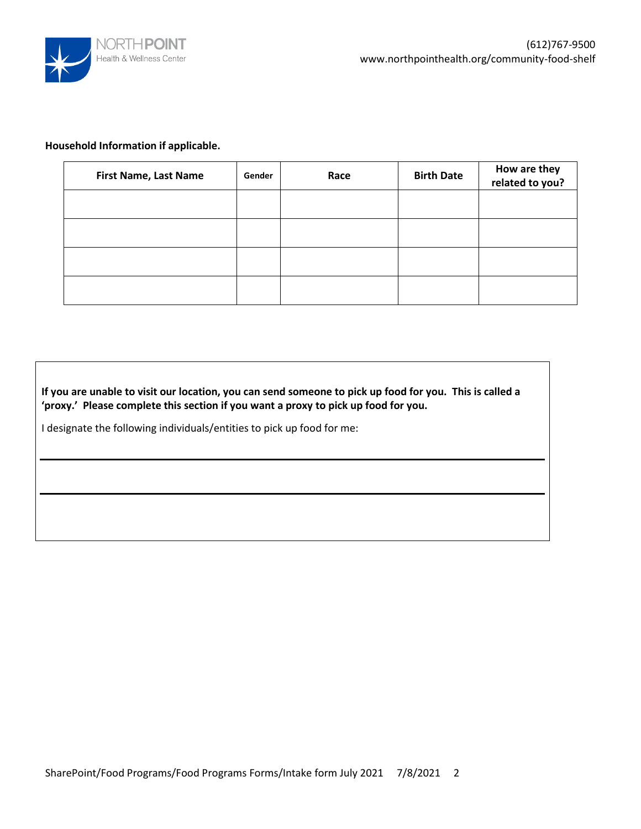

#### **Household Information if applicable.**

| <b>First Name, Last Name</b> | Gender | Race | <b>Birth Date</b> | How are they<br>related to you? |
|------------------------------|--------|------|-------------------|---------------------------------|
|                              |        |      |                   |                                 |
|                              |        |      |                   |                                 |
|                              |        |      |                   |                                 |
|                              |        |      |                   |                                 |

**If you are unable to visit our location, you can send someone to pick up food for you. This is called a 'proxy.' Please complete this section if you want a proxy to pick up food for you.**

I designate the following individuals/entities to pick up food for me: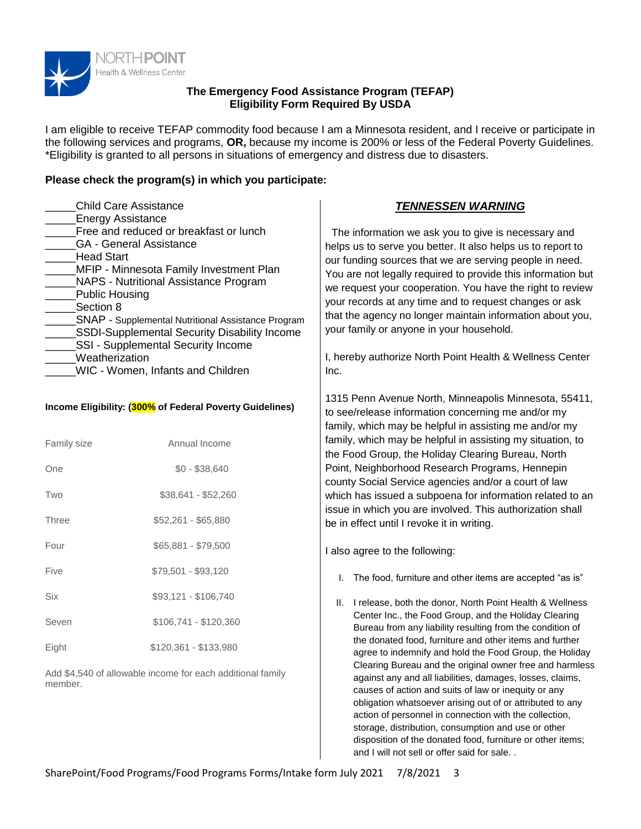

#### **The Emergency Food Assistance Program (TEFAP) Eligibility Form Required By USDA**

I am eligible to receive TEFAP commodity food because I am a Minnesota resident, and I receive or participate in the following services and programs, **OR,** because my income is 200% or less of the Federal Poverty Guidelines. \*Eligibility is granted to all persons in situations of emergency and distress due to disasters.

### **Please check the program(s) in which you participate:**

| <b>Child Care Assistance</b><br><b>Energy Assistance</b><br>Free and reduced or breakfast or lunch<br><b>GA</b> - General Assistance<br><b>Head Start</b><br>MFIP - Minnesota Family Investment Plan<br><b>NAPS - Nutritional Assistance Program</b><br>Public Housing<br>Section 8<br>SNAP - Supplemental Nutritional Assistance Program<br>SSDI-Supplemental Security Disability Income<br>SSI - Supplemental Security Income<br>Weatherization<br><b>WIC - Women, Infants and Children</b> |                       | <b>TENNESSEN WARNING</b><br>The information we ask you to give is necessary and<br>helps us to serve you better. It also helps us to report to<br>our funding sources that we are serving people in need.<br>You are not legally required to provide this information but<br>we request your cooperation. You have the right to review<br>your records at any time and to request changes or ask<br>that the agency no longer maintain information about you,<br>your family or anyone in your household.<br>I, hereby authorize North Point Health & Wellness Center<br>Inc. |  |  |
|-----------------------------------------------------------------------------------------------------------------------------------------------------------------------------------------------------------------------------------------------------------------------------------------------------------------------------------------------------------------------------------------------------------------------------------------------------------------------------------------------|-----------------------|-------------------------------------------------------------------------------------------------------------------------------------------------------------------------------------------------------------------------------------------------------------------------------------------------------------------------------------------------------------------------------------------------------------------------------------------------------------------------------------------------------------------------------------------------------------------------------|--|--|
| Income Eligibility: (300% of Federal Poverty Guidelines)                                                                                                                                                                                                                                                                                                                                                                                                                                      |                       | 1315 Penn Avenue North, Minneapolis Minnesota, 55411,<br>to see/release information concerning me and/or my<br>family, which may be helpful in assisting me and/or my                                                                                                                                                                                                                                                                                                                                                                                                         |  |  |
| Family size                                                                                                                                                                                                                                                                                                                                                                                                                                                                                   | Annual Income         | family, which may be helpful in assisting my situation, to<br>the Food Group, the Holiday Clearing Bureau, North                                                                                                                                                                                                                                                                                                                                                                                                                                                              |  |  |
| One                                                                                                                                                                                                                                                                                                                                                                                                                                                                                           | $$0 - $38,640$        | Point, Neighborhood Research Programs, Hennepin<br>county Social Service agencies and/or a court of law                                                                                                                                                                                                                                                                                                                                                                                                                                                                       |  |  |
| Two                                                                                                                                                                                                                                                                                                                                                                                                                                                                                           | \$38,641 - \$52,260   | which has issued a subpoena for information related to an                                                                                                                                                                                                                                                                                                                                                                                                                                                                                                                     |  |  |
| <b>Three</b>                                                                                                                                                                                                                                                                                                                                                                                                                                                                                  | \$52,261 - \$65,880   | issue in which you are involved. This authorization shall<br>be in effect until I revoke it in writing.                                                                                                                                                                                                                                                                                                                                                                                                                                                                       |  |  |
| Four                                                                                                                                                                                                                                                                                                                                                                                                                                                                                          | \$65,881 - \$79,500   | I also agree to the following:                                                                                                                                                                                                                                                                                                                                                                                                                                                                                                                                                |  |  |
| Five                                                                                                                                                                                                                                                                                                                                                                                                                                                                                          | \$79,501 - \$93,120   | The food, furniture and other items are accepted "as is"<br>L.                                                                                                                                                                                                                                                                                                                                                                                                                                                                                                                |  |  |
| Six                                                                                                                                                                                                                                                                                                                                                                                                                                                                                           | \$93,121 - \$106,740  | II. I release, both the donor, North Point Health & Wellness                                                                                                                                                                                                                                                                                                                                                                                                                                                                                                                  |  |  |
| Seven                                                                                                                                                                                                                                                                                                                                                                                                                                                                                         | \$106,741 - \$120,360 | Center Inc., the Food Group, and the Holiday Clearing<br>Bureau from any liability resulting from the condition of                                                                                                                                                                                                                                                                                                                                                                                                                                                            |  |  |
| Eight                                                                                                                                                                                                                                                                                                                                                                                                                                                                                         | \$120,361 - \$133,980 | the donated food, furniture and other items and further<br>agree to indemnify and hold the Food Group, the Holiday                                                                                                                                                                                                                                                                                                                                                                                                                                                            |  |  |
| Add \$4,540 of allowable income for each additional family<br>member.                                                                                                                                                                                                                                                                                                                                                                                                                         |                       | Clearing Bureau and the original owner free and harmless<br>against any and all liabilities, damages, losses, claims,<br>causes of action and suits of law or inequity or any<br>obligation whatsoever arising out of or attributed to any<br>action of personnel in connection with the collection,<br>storage, distribution, consumption and use or other                                                                                                                                                                                                                   |  |  |

disposition of the donated food, furniture or other items;

and I will not sell or offer said for sale. .